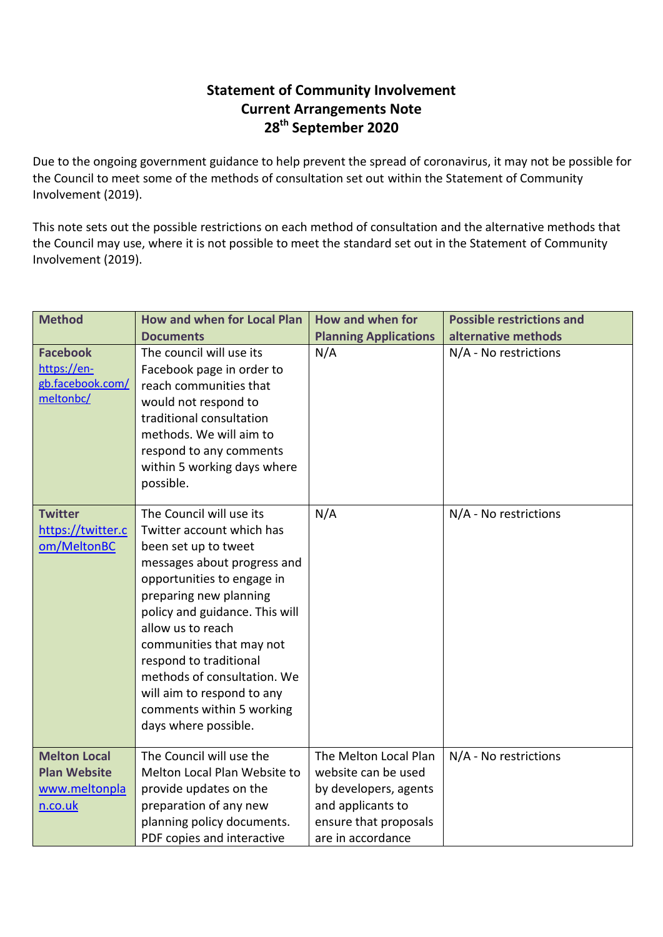## **Statement of Community Involvement Current Arrangements Note 28th September 2020**

Due to the ongoing government guidance to help prevent the spread of coronavirus, it may not be possible for the Council to meet some of the methods of consultation set out within the Statement of Community Involvement (2019).

This note sets out the possible restrictions on each method of consultation and the alternative methods that the Council may use, where it is not possible to meet the standard set out in the Statement of Community Involvement (2019).

| <b>Method</b>                                                          | <b>How and when for Local Plan</b>                                                                                                                                                                                                                                                                                                                                                                  | How and when for                                                                                                                         | <b>Possible restrictions and</b> |
|------------------------------------------------------------------------|-----------------------------------------------------------------------------------------------------------------------------------------------------------------------------------------------------------------------------------------------------------------------------------------------------------------------------------------------------------------------------------------------------|------------------------------------------------------------------------------------------------------------------------------------------|----------------------------------|
|                                                                        | <b>Documents</b>                                                                                                                                                                                                                                                                                                                                                                                    | <b>Planning Applications</b>                                                                                                             | alternative methods              |
| <b>Facebook</b><br>https://en-<br>gb.facebook.com/<br>meltonbc/        | The council will use its<br>Facebook page in order to<br>reach communities that<br>would not respond to<br>traditional consultation<br>methods. We will aim to<br>respond to any comments<br>within 5 working days where<br>possible.                                                                                                                                                               | N/A                                                                                                                                      | N/A - No restrictions            |
| <b>Twitter</b><br>https://twitter.c<br>om/MeltonBC                     | The Council will use its<br>Twitter account which has<br>been set up to tweet<br>messages about progress and<br>opportunities to engage in<br>preparing new planning<br>policy and guidance. This will<br>allow us to reach<br>communities that may not<br>respond to traditional<br>methods of consultation. We<br>will aim to respond to any<br>comments within 5 working<br>days where possible. | N/A                                                                                                                                      | N/A - No restrictions            |
| <b>Melton Local</b><br><b>Plan Website</b><br>www.meltonpla<br>n.co.uk | The Council will use the<br>Melton Local Plan Website to<br>provide updates on the<br>preparation of any new<br>planning policy documents.<br>PDF copies and interactive                                                                                                                                                                                                                            | The Melton Local Plan<br>website can be used<br>by developers, agents<br>and applicants to<br>ensure that proposals<br>are in accordance | N/A - No restrictions            |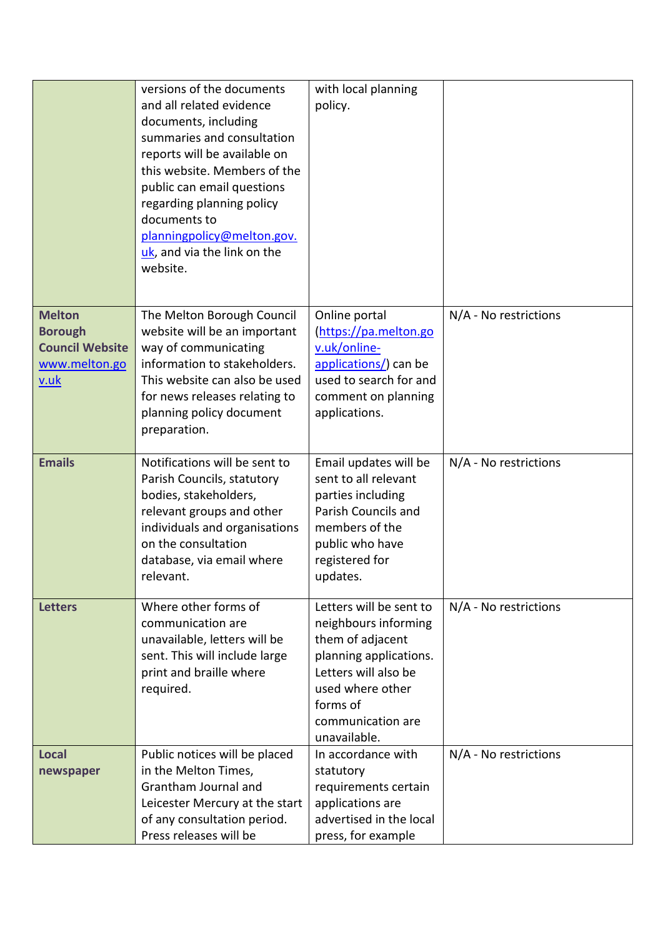|                                                                                           | versions of the documents<br>and all related evidence<br>documents, including<br>summaries and consultation<br>reports will be available on<br>this website. Members of the<br>public can email questions<br>regarding planning policy<br>documents to<br>planningpolicy@melton.gov.<br>uk, and via the link on the<br>website. | with local planning<br>policy.                                                                                                                                                             |                       |
|-------------------------------------------------------------------------------------------|---------------------------------------------------------------------------------------------------------------------------------------------------------------------------------------------------------------------------------------------------------------------------------------------------------------------------------|--------------------------------------------------------------------------------------------------------------------------------------------------------------------------------------------|-----------------------|
| <b>Melton</b><br><b>Borough</b><br><b>Council Website</b><br>www.melton.go<br><u>v.uk</u> | The Melton Borough Council<br>website will be an important<br>way of communicating<br>information to stakeholders.<br>This website can also be used<br>for news releases relating to<br>planning policy document<br>preparation.                                                                                                | Online portal<br>(https://pa.melton.go<br>v.uk/online-<br>applications/) can be<br>used to search for and<br>comment on planning<br>applications.                                          | N/A - No restrictions |
| <b>Emails</b>                                                                             | Notifications will be sent to<br>Parish Councils, statutory<br>bodies, stakeholders,<br>relevant groups and other<br>individuals and organisations<br>on the consultation<br>database, via email where<br>relevant.                                                                                                             | Email updates will be<br>sent to all relevant<br>parties including<br>Parish Councils and<br>members of the<br>public who have<br>registered for<br>updates.                               | N/A - No restrictions |
| <b>Letters</b>                                                                            | Where other forms of<br>communication are<br>unavailable, letters will be<br>sent. This will include large<br>print and braille where<br>required.                                                                                                                                                                              | Letters will be sent to<br>neighbours informing<br>them of adjacent<br>planning applications.<br>Letters will also be<br>used where other<br>forms of<br>communication are<br>unavailable. | N/A - No restrictions |
| <b>Local</b><br>newspaper                                                                 | Public notices will be placed<br>in the Melton Times,<br>Grantham Journal and<br>Leicester Mercury at the start<br>of any consultation period.<br>Press releases will be                                                                                                                                                        | In accordance with<br>statutory<br>requirements certain<br>applications are<br>advertised in the local<br>press, for example                                                               | N/A - No restrictions |